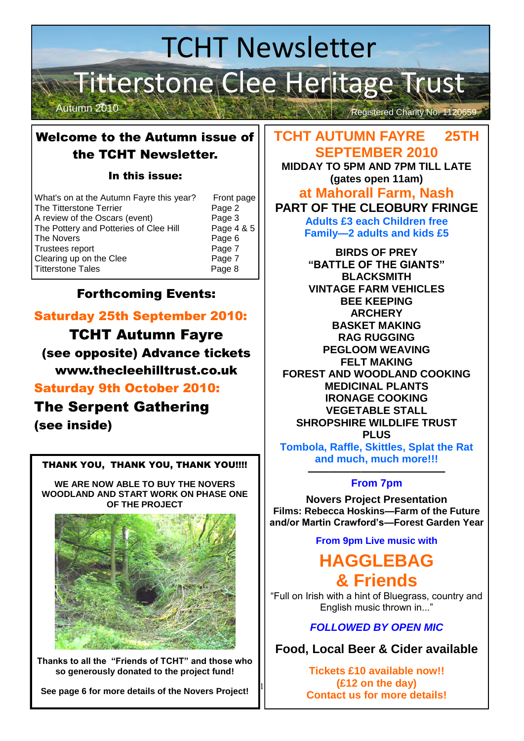# TCHT Newsletter Titterstone Clee Heritage Trust Autumn 2010 Registered Charity No. 1120659

### Welcome to the Autumn issue of the TCHT Newsletter.

#### In this issue:

| What's on at the Autumn Fayre this year? | Front page |
|------------------------------------------|------------|
| The Titterstone Terrier                  | Page 2     |
| A review of the Oscars (event)           | Page 3     |
| The Pottery and Potteries of Clee Hill   | Page 4 & 5 |
| The Novers                               | Page 6     |
| Trustees report                          | Page 7     |
| Clearing up on the Clee                  | Page 7     |
| <b>Titterstone Tales</b>                 | Page 8     |

## Forthcoming Events:

## Saturday 25th September 2010:

TCHT Autumn Fayre

(see opposite) Advance tickets www.thecleehilltrust.co.uk

#### Saturday 9th October 2010:

## The Serpent Gathering

(see inside)

#### THANK YOU, THANK YOU, THANK YOU!!!!

**WE ARE NOW ABLE TO BUY THE NOVERS WOODLAND AND START WORK ON PHASE ONE OF THE PROJECT** 



**Thanks to all the "Friends of TCHT" and those who so generously donated to the project fund!** 

**See page 6 for more details of the Novers Project!** 

#### **TCHT AUTUMN FAYRE 25TH SEPTEMBER 2010**

**MIDDAY TO 5PM AND 7PM TILL LATE (gates open 11am)** 

#### **at Mahorall Farm, Nash PART OF THE CLEOBURY FRINGE**

**Adults £3 each Children free Family—2 adults and kids £5** 

**BIRDS OF PREY "BATTLE OF THE GIANTS" BLACKSMITH VINTAGE FARM VEHICLES BEE KEEPING ARCHERY BASKET MAKING RAG RUGGING PEGLOOM WEAVING FELT MAKING FOREST AND WOODLAND COOKING MEDICINAL PLANTS IRONAGE COOKING VEGETABLE STALL SHROPSHIRE WILDLIFE TRUST PLUS Tombola, Raffle, Skittles, Splat the Rat and much, much more!!!** 

#### **————————————— From 7pm**

**Novers Project Presentation Films: Rebecca Hoskins—Farm of the Future and/or Martin Crawford's—Forest Garden Year** 

**From 9pm Live music with** 

## **HAGGLEBAG & Friends**

"Full on Irish with a hint of Bluegrass, country and English music thrown in..."

#### *FOLLOWED BY OPEN MIC*

**Food, Local Beer & Cider available**

**Tickets £10 available now!! (£12 on the day) Contact us for more details!** 

1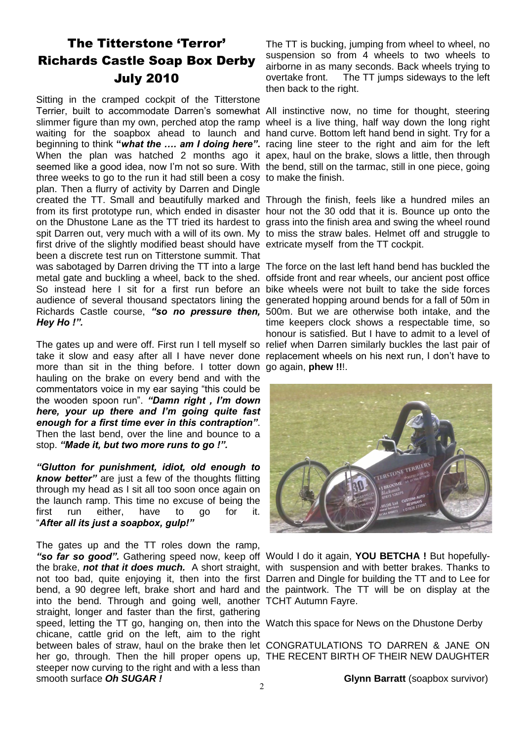## The Titterstone 'Terror' Richards Castle Soap Box Derby July 2010

Sitting in the cramped cockpit of the Titterstone Terrier, built to accommodate Darren's somewhat All instinctive now, no time for thought, steering slimmer figure than my own, perched atop the ramp wheel is a live thing, half way down the long right waiting for the soapbox ahead to launch and hand curve. Bottom left hand bend in sight. Try for a beginning to think **"***what the …. am I doing here"***.** racing line steer to the right and aim for the left When the plan was hatched 2 months ago it apex, haul on the brake, slows a little, then through seemed like a good idea, now I'm not so sure. With the bend, still on the tarmac, still in one piece, going three weeks to go to the run it had still been a cosy to make the finish. plan. Then a flurry of activity by Darren and Dingle created the TT. Small and beautifully marked and Through the finish, feels like a hundred miles an from its first prototype run, which ended in disaster hour not the 30 odd that it is. Bounce up onto the on the Dhustone Lane as the TT tried its hardest to grass into the finish area and swing the wheel round spit Darren out, very much with a will of its own. My to miss the straw bales. Helmet off and struggle to first drive of the slightly modified beast should have extricate myself from the TT cockpit. been a discrete test run on Titterstone summit. That was sabotaged by Darren driving the TT into a large The force on the last left hand bend has buckled the metal gate and buckling a wheel, back to the shed. offside front and rear wheels, our ancient post office So instead here I sit for a first run before an bike wheels were not built to take the side forces audience of several thousand spectators lining the generated hopping around bends for a fall of 50m in Richards Castle course, *"so no pressure then,*  500m. But we are otherwise both intake, and the *Hey Ho !".*

The gates up and were off. First run I tell myself so relief when Darren similarly buckles the last pair of take it slow and easy after all I have never done replacement wheels on his next run, I don't have to more than sit in the thing before. I totter down go again, **phew !!**!. hauling on the brake on every bend and with the commentators voice in my ear saying "this could be the wooden spoon run". *"Damn right , I'm down here, your up there and I'm going quite fast enough for a first time ever in this contraption"*. Then the last bend, over the line and bounce to a stop. *"Made it, but two more runs to go !".*

*"Glutton for punishment, idiot, old enough to know better"* are just a few of the thoughts flitting through my head as I sit all too soon once again on the launch ramp. This time no excuse of being the first run either, have to go for it. "*After all its just a soapbox, gulp!"*

The gates up and the TT roles down the ramp. *"so far so good".* Gathering speed now, keep off Would I do it again, **YOU BETCHA !** But hopefullythe brake, not that it does much. A short straight, with suspension and with better brakes. Thanks to not too bad, quite enjoying it, then into the first Darren and Dingle for building the TT and to Lee for bend, a 90 degree left, brake short and hard and the paintwork. The TT will be on display at the into the bend. Through and going well, another TCHT Autumn Fayre. straight, longer and faster than the first, gathering speed, letting the TT go, hanging on, then into the Watch this space for News on the Dhustone Derby chicane, cattle grid on the left, aim to the right between bales of straw, haul on the brake then let CONGRATULATIONS TO DARREN & JANE ON her go, through. Then the hill proper opens up, THE RECENT BIRTH OF THEIR NEW DAUGHTER steeper now curving to the right and with a less than smooth surface *Oh SUGAR !*

The TT is bucking, jumping from wheel to wheel, no suspension so from 4 wheels to two wheels to airborne in as many seconds. Back wheels trying to overtake front. The TT jumps sideways to the left then back to the right.

time keepers clock shows a respectable time, so honour is satisfied. But I have to admit to a level of



**Glynn Barratt** (soapbox survivor)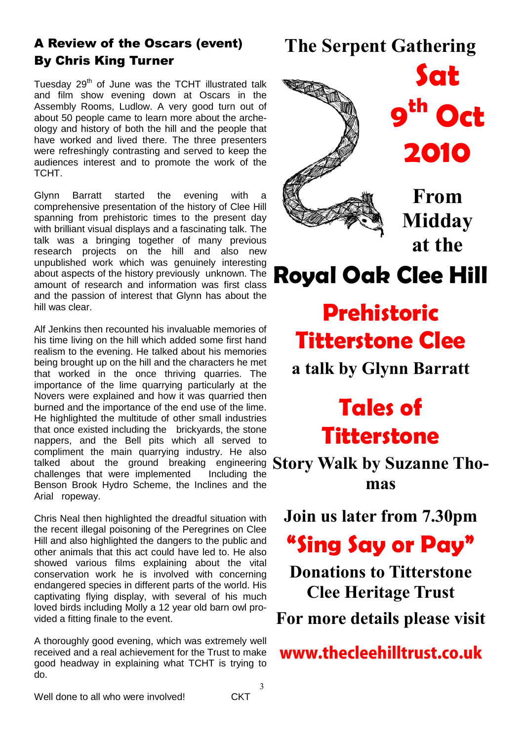## A Review of the Oscars (event) By Chris King Turner

Tuesday 29<sup>th</sup> of June was the TCHT illustrated talk and film show evening down at Oscars in the Assembly Rooms, Ludlow. A very good turn out of about 50 people came to learn more about the archeology and history of both the hill and the people that have worked and lived there. The three presenters were refreshingly contrasting and served to keep the audiences interest and to promote the work of the TCHT.

Glynn Barratt started the evening with a comprehensive presentation of the history of Clee Hill spanning from prehistoric times to the present day with brilliant visual displays and a fascinating talk. The talk was a bringing together of many previous research projects on the hill and also new unpublished work which was genuinely interesting about aspects of the history previously unknown. The amount of research and information was first class and the passion of interest that Glynn has about the hill was clear.

talked about the ground breaking engineering **Story Walk by Suzanne Tho-**Alf Jenkins then recounted his invaluable memories of his time living on the hill which added some first hand realism to the evening. He talked about his memories being brought up on the hill and the characters he met that worked in the once thriving quarries. The importance of the lime quarrying particularly at the Novers were explained and how it was quarried then burned and the importance of the end use of the lime. He highlighted the multitude of other small industries that once existed including the brickyards, the stone nappers, and the Bell pits which all served to compliment the main quarrying industry. He also challenges that were implemented Including the Benson Brook Hydro Scheme, the Inclines and the Arial ropeway.

Chris Neal then highlighted the dreadful situation with the recent illegal poisoning of the Peregrines on Clee Hill and also highlighted the dangers to the public and other animals that this act could have led to. He also showed various films explaining about the vital conservation work he is involved with concerning endangered species in different parts of the world. His captivating flying display, with several of his much loved birds including Molly a 12 year old barn owl provided a fitting finale to the event.

A thoroughly good evening, which was extremely well received and a real achievement for the Trust to make good headway in explaining what TCHT is trying to do.

## **The Serpent Gathering**

**9**



**COLLEGE DE** 

**From Midday at the** 

**2010** 

**Sat**

**th Oct** 

**Royal Oak Clee Hill**

# **Prehistoric Titterstone Clee**

**a talk by Glynn Barratt** 

## **Tales of Titterstone**

**mas** 

**Join us later from 7.30pm** 

**"Sing Say or Pay"**

**Donations to Titterstone Clee Heritage Trust For more details please visit** 

www.thecleehilltrust.co.uk

Well done to all who were involved! CKT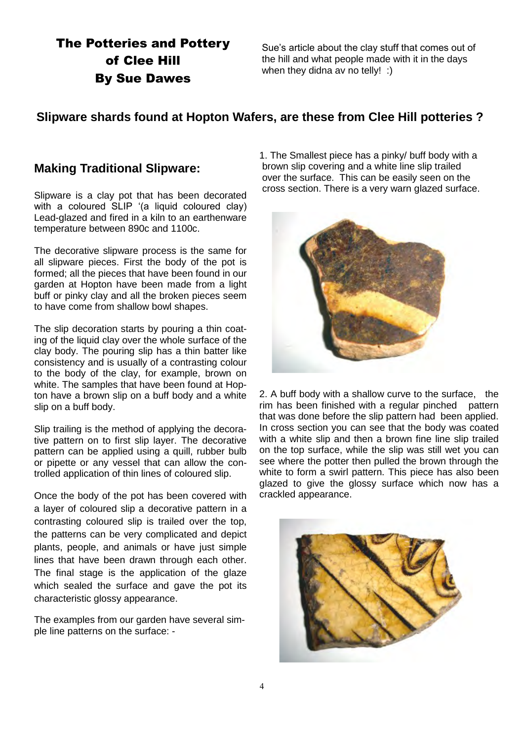## The Potteries and Pottery of Clee Hill By Sue Dawes

Sue"s article about the clay stuff that comes out of the hill and what people made with it in the days when they didna av no telly! :)

#### **Slipware shards found at Hopton Wafers, are these from Clee Hill potteries ?**

#### **Making Traditional Slipware:**

Slipware is a clay pot that has been decorated with a coloured SLIP '(a liquid coloured clay) Lead-glazed and fired in a kiln to an earthenware temperature between 890c and 1100c.

The decorative slipware process is the same for all slipware pieces. First the body of the pot is formed; all the pieces that have been found in our garden at Hopton have been made from a light buff or pinky clay and all the broken pieces seem to have come from shallow bowl shapes.

The slip decoration starts by pouring a thin coating of the liquid clay over the whole surface of the clay body. The pouring slip has a thin batter like consistency and is usually of a contrasting colour to the body of the clay, for example, brown on white. The samples that have been found at Hopton have a brown slip on a buff body and a white slip on a buff body.

Slip trailing is the method of applying the decorative pattern on to first slip layer. The decorative pattern can be applied using a quill, rubber bulb or pipette or any vessel that can allow the controlled application of thin lines of coloured slip.

Once the body of the pot has been covered with a layer of coloured slip a decorative pattern in a contrasting coloured slip is trailed over the top, the patterns can be very complicated and depict plants, people, and animals or have just simple lines that have been drawn through each other. The final stage is the application of the glaze which sealed the surface and gave the pot its characteristic glossy appearance.

The examples from our garden have several simple line patterns on the surface: -

1. The Smallest piece has a pinky/ buff body with a brown slip covering and a white line slip trailed over the surface. This can be easily seen on the cross section. There is a very warn glazed surface.



2. A buff body with a shallow curve to the surface, the rim has been finished with a regular pinched pattern that was done before the slip pattern had been applied. In cross section you can see that the body was coated with a white slip and then a brown fine line slip trailed on the top surface, while the slip was still wet you can see where the potter then pulled the brown through the white to form a swirl pattern. This piece has also been glazed to give the glossy surface which now has a crackled appearance.

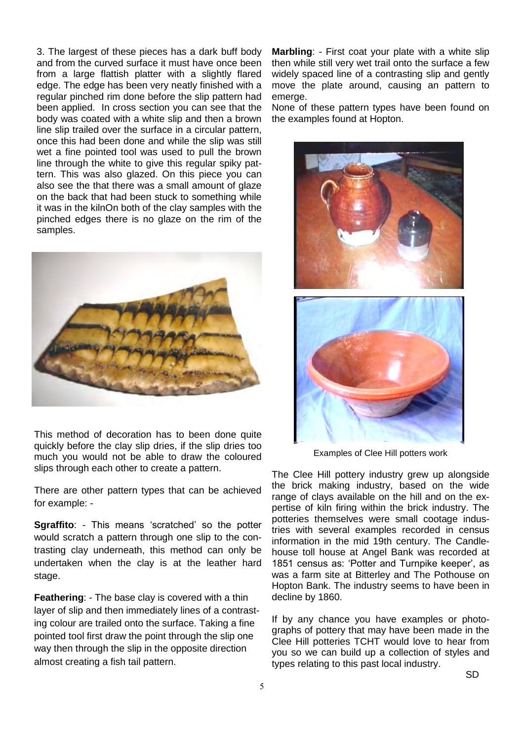3. The largest of these pieces has a dark buff body and from the curved surface it must have once been from a large flattish platter with a slightly flared edge. The edge has been very neatly finished with a regular pinched rim done before the slip pattern had been applied. In cross section you can see that the body was coated with a white slip and then a brown line slip trailed over the surface in a circular pattern, once this had been done and while the slip was still wet a fine pointed tool was used to pull the brown line through the white to give this regular spiky pattern. This was also glazed. On this piece you can also see the that there was a small amount of glaze on the back that had been stuck to something while it was in the kilnOn both of the clay samples with the pinched edges there is no glaze on the rim of the samples.



This method of decoration has to been done quite quickly before the clay slip dries, if the slip dries too much you would not be able to draw the coloured slips through each other to create a pattern.

There are other pattern types that can be achieved for example: -

**Sgraffito:** - This means 'scratched' so the potter would scratch a pattern through one slip to the contrasting clay underneath, this method can only be undertaken when the clay is at the leather hard stage.

**Feathering**: - The base clay is covered with a thin layer of slip and then immediately lines of a contrasting colour are trailed onto the surface. Taking a fine pointed tool first draw the point through the slip one way then through the slip in the opposite direction almost creating a fish tail pattern.

**Marbling**: - First coat your plate with a white slip then while still very wet trail onto the surface a few widely spaced line of a contrasting slip and gently move the plate around, causing an pattern to emerge.

None of these pattern types have been found on the examples found at Hopton.



Examples of Clee Hill potters work

The Clee Hill pottery industry grew up alongside the brick making industry, based on the wide range of clays available on the hill and on the expertise of kiln firing within the brick industry. The potteries themselves were small cootage industries with several examples recorded in census information in the mid 19th century. The Candlehouse toll house at Angel Bank was recorded at 1851 census as: 'Potter and Turnpike keeper', as was a farm site at Bitterley and The Pothouse on Hopton Bank. The industry seems to have been in decline by 1860.

If by any chance you have examples or photographs of pottery that may have been made in the Clee Hill potteries TCHT would love to hear from you so we can build up a collection of styles and types relating to this past local industry.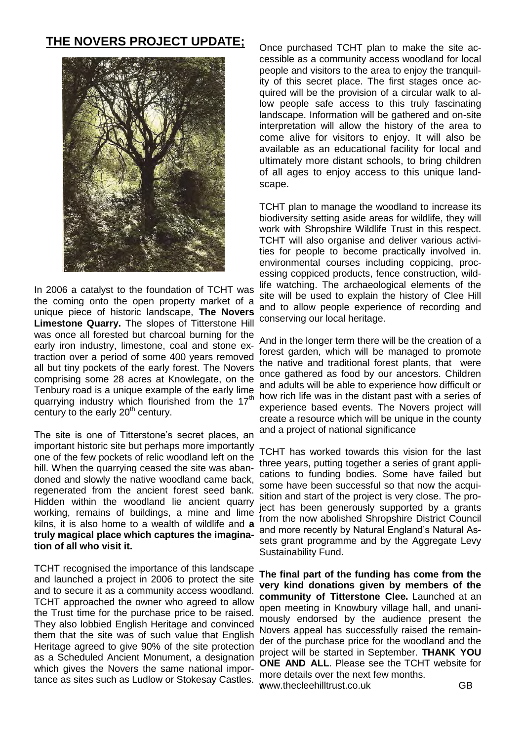#### **THE NOVERS PROJECT UPDATE;**



In 2006 a catalyst to the foundation of TCHT was the coming onto the open property market of a unique piece of historic landscape, **The Novers Limestone Quarry.** The slopes of Titterstone Hill was once all forested but charcoal burning for the early iron industry, limestone, coal and stone extraction over a period of some 400 years removed all but tiny pockets of the early forest. The Novers comprising some 28 acres at Knowlegate, on the Tenbury road is a unique example of the early lime quarrying industry which flourished from the  $17<sup>th</sup>$ century to the early 20<sup>th</sup> century.

The site is one of Titterstone"s secret places, an important historic site but perhaps more importantly one of the few pockets of relic woodland left on the hill. When the quarrying ceased the site was abandoned and slowly the native woodland came back, regenerated from the ancient forest seed bank. Hidden within the woodland lie ancient quarry working, remains of buildings, a mine and lime kilns, it is also home to a wealth of wildlife and **a truly magical place which captures the imagination of all who visit it.** 

TCHT recognised the importance of this landscape and launched a project in 2006 to protect the site and to secure it as a community access woodland. TCHT approached the owner who agreed to allow the Trust time for the purchase price to be raised. They also lobbied English Heritage and convinced them that the site was of such value that English Heritage agreed to give 90% of the site protection as a Scheduled Ancient Monument, a designation which gives the Novers the same national importance as sites such as Ludlow or Stokesay Castles.

Once purchased TCHT plan to make the site accessible as a community access woodland for local people and visitors to the area to enjoy the tranquility of this secret place. The first stages once acquired will be the provision of a circular walk to allow people safe access to this truly fascinating landscape. Information will be gathered and on-site interpretation will allow the history of the area to come alive for visitors to enjoy. It will also be available as an educational facility for local and ultimately more distant schools, to bring children of all ages to enjoy access to this unique landscape.

TCHT plan to manage the woodland to increase its biodiversity setting aside areas for wildlife, they will work with Shropshire Wildlife Trust in this respect. TCHT will also organise and deliver various activities for people to become practically involved in. environmental courses including coppicing, processing coppiced products, fence construction, wildlife watching. The archaeological elements of the site will be used to explain the history of Clee Hill and to allow people experience of recording and conserving our local heritage.

And in the longer term there will be the creation of a forest garden, which will be managed to promote the native and traditional forest plants, that were once gathered as food by our ancestors. Children and adults will be able to experience how difficult or how rich life was in the distant past with a series of experience based events. The Novers project will create a resource which will be unique in the county and a project of national significance

TCHT has worked towards this vision for the last three years, putting together a series of grant applications to funding bodies. Some have failed but some have been successful so that now the acquisition and start of the project is very close. The project has been generously supported by a grants from the now abolished Shropshire District Council and more recently by Natural England"s Natural Assets grant programme and by the Aggregate Levy Sustainability Fund.

6 www.thecleehilltrust.co.uk GB**The final part of the funding has come from the very kind donations given by members of the community of Titterstone Clee.** Launched at an open meeting in Knowbury village hall, and unanimously endorsed by the audience present the Novers appeal has successfully raised the remainder of the purchase price for the woodland and the project will be started in September. **THANK YOU ONE AND ALL**. Please see the TCHT website for more details over the next few months.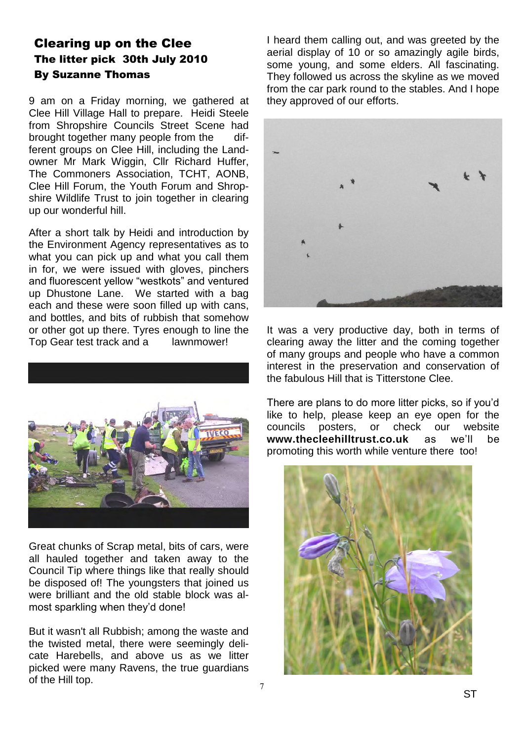#### Clearing up on the Clee The litter pick 30th July 2010 By Suzanne Thomas

9 am on a Friday morning, we gathered at Clee Hill Village Hall to prepare. Heidi Steele from Shropshire Councils Street Scene had brought together many people from the different groups on Clee Hill, including the Landowner Mr Mark Wiggin, Cllr Richard Huffer, The Commoners Association, TCHT, AONB, Clee Hill Forum, the Youth Forum and Shropshire Wildlife Trust to join together in clearing up our wonderful hill.

After a short talk by Heidi and introduction by the Environment Agency representatives as to what you can pick up and what you call them in for, we were issued with gloves, pinchers and fluorescent yellow "westkots" and ventured up Dhustone Lane. We started with a bag each and these were soon filled up with cans, and bottles, and bits of rubbish that somehow or other got up there. Tyres enough to line the Top Gear test track and a lawnmower!



Great chunks of Scrap metal, bits of cars, were all hauled together and taken away to the Council Tip where things like that really should be disposed of! The youngsters that joined us were brilliant and the old stable block was almost sparkling when they"d done!

But it wasn't all Rubbish; among the waste and the twisted metal, there were seemingly delicate Harebells, and above us as we litter picked were many Ravens, the true guardians of the Hill top.

I heard them calling out, and was greeted by the aerial display of 10 or so amazingly agile birds, some young, and some elders. All fascinating. They followed us across the skyline as we moved from the car park round to the stables. And I hope they approved of our efforts.



It was a very productive day, both in terms of clearing away the litter and the coming together of many groups and people who have a common interest in the preservation and conservation of the fabulous Hill that is Titterstone Clee.

There are plans to do more litter picks, so if you"d like to help, please keep an eye open for the councils posters, or check our website **www.thecleehilltrust.co.uk** as we"ll be promoting this worth while venture there too!